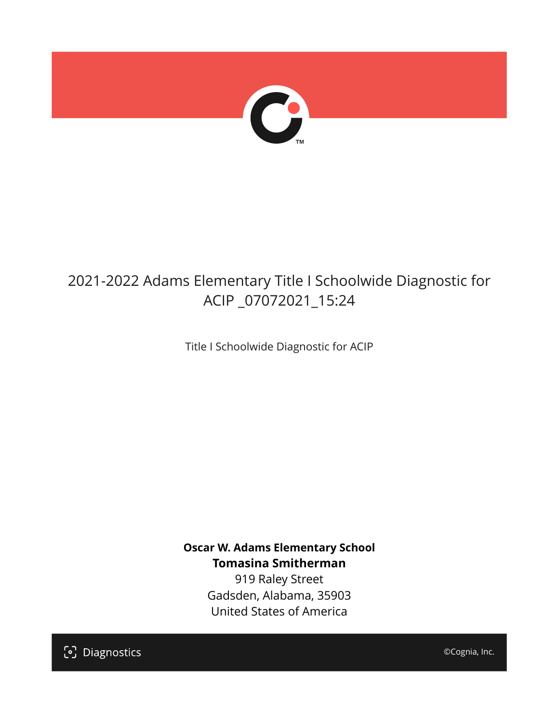

# 2021-2022 Adams Elementary Title I Schoolwide Diagnostic for ACIP \_07072021\_15:24

Title I Schoolwide Diagnostic for ACIP

**Oscar W. Adams Elementary School Tomasina Smitherman**

919 Raley Street Gadsden, Alabama, 35903 United States of America

[၁] Diagnostics

©Cognia, Inc.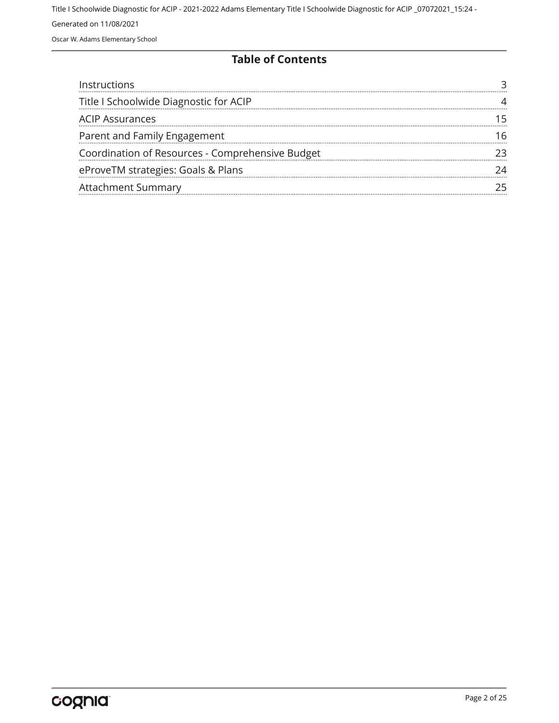Oscar W. Adams Elementary School

#### **Table of Contents**

| Instructions                                     |  |
|--------------------------------------------------|--|
| Title I Schoolwide Diagnostic for ACIP           |  |
| <b>ACIP Assurances</b>                           |  |
| Parent and Family Engagement                     |  |
| Coordination of Resources - Comprehensive Budget |  |
| eProveTM strategies: Goals & Plans               |  |
| <b>Attachment Summary</b>                        |  |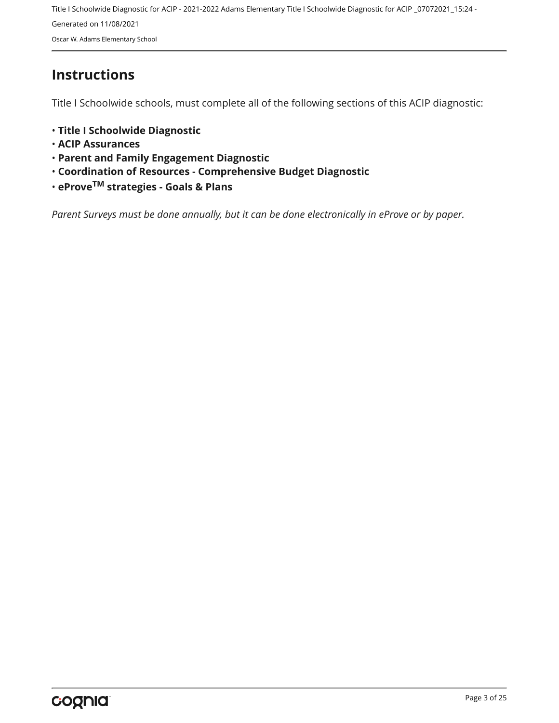Title I Schoolwide Diagnostic for ACIP - 2021-2022 Adams Elementary Title I Schoolwide Diagnostic for ACIP \_07072021\_15:24 - Generated on 11/08/2021 Oscar W. Adams Elementary School

### <span id="page-2-0"></span>**Instructions**

Title I Schoolwide schools, must complete all of the following sections of this ACIP diagnostic:

- **Title I Schoolwide Diagnostic**
- **ACIP Assurances**
- **Parent and Family Engagement Diagnostic**
- **Coordination of Resources Comprehensive Budget Diagnostic**
- **eProveTM strategies Goals & Plans**

*Parent Surveys must be done annually, but it can be done electronically in eProve or by paper.*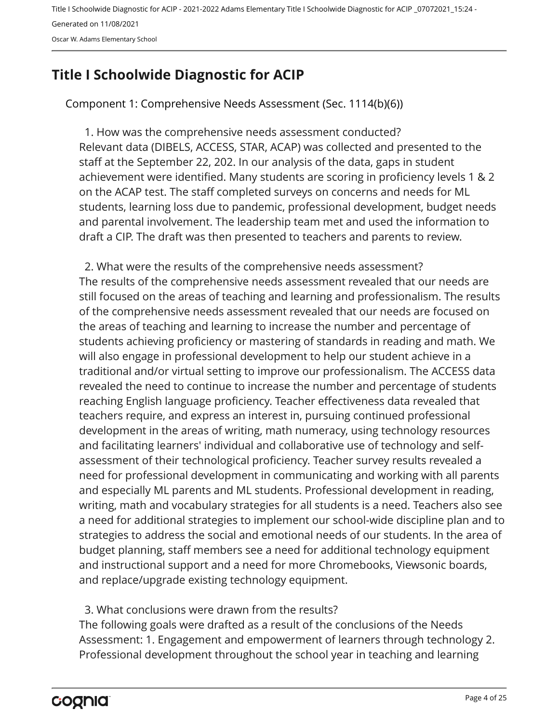Oscar W. Adams Elementary School

## <span id="page-3-0"></span>**Title I Schoolwide Diagnostic for ACIP**

Component 1: Comprehensive Needs Assessment (Sec. 1114(b)(6))

Relevant data (DIBELS, ACCESS, STAR, ACAP) was collected and presented to the staff at the September 22, 202. In our analysis of the data, gaps in student achievement were identified. Many students are scoring in proficiency levels 1 & 2 on the ACAP test. The staff completed surveys on concerns and needs for ML students, learning loss due to pandemic, professional development, budget needs and parental involvement. The leadership team met and used the information to draft a CIP. The draft was then presented to teachers and parents to review. 1. How was the comprehensive needs assessment conducted?

The results of the comprehensive needs assessment revealed that our needs are still focused on the areas of teaching and learning and professionalism. The results of the comprehensive needs assessment revealed that our needs are focused on the areas of teaching and learning to increase the number and percentage of students achieving proficiency or mastering of standards in reading and math. We will also engage in professional development to help our student achieve in a traditional and/or virtual setting to improve our professionalism. The ACCESS data revealed the need to continue to increase the number and percentage of students reaching English language proficiency. Teacher effectiveness data revealed that teachers require, and express an interest in, pursuing continued professional development in the areas of writing, math numeracy, using technology resources and facilitating learners' individual and collaborative use of technology and selfassessment of their technological proficiency. Teacher survey results revealed a need for professional development in communicating and working with all parents and especially ML parents and ML students. Professional development in reading, writing, math and vocabulary strategies for all students is a need. Teachers also see a need for additional strategies to implement our school-wide discipline plan and to strategies to address the social and emotional needs of our students. In the area of budget planning, staff members see a need for additional technology equipment and instructional support and a need for more Chromebooks, Viewsonic boards, and replace/upgrade existing technology equipment. 2. What were the results of the comprehensive needs assessment?

3. What conclusions were drawn from the results?

The following goals were drafted as a result of the conclusions of the Needs Assessment: 1. Engagement and empowerment of learners through technology 2. Professional development throughout the school year in teaching and learning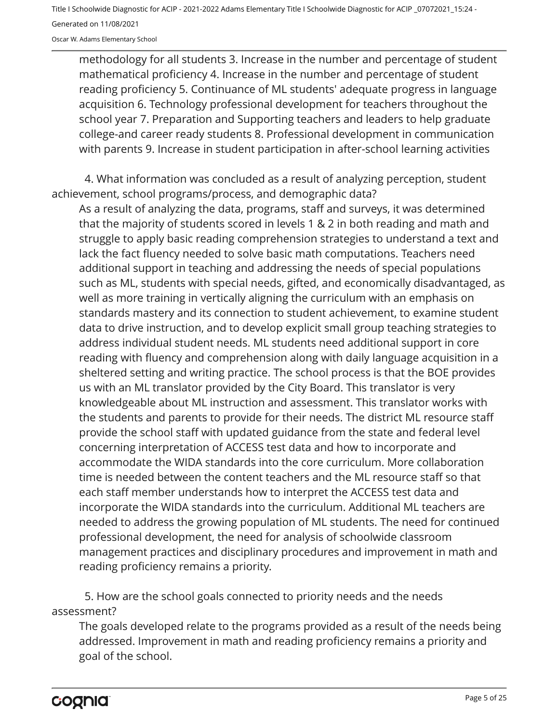Oscar W. Adams Elementary School

methodology for all students 3. Increase in the number and percentage of student mathematical proficiency 4. Increase in the number and percentage of student reading proficiency 5. Continuance of ML students' adequate progress in language acquisition 6. Technology professional development for teachers throughout the school year 7. Preparation and Supporting teachers and leaders to help graduate college-and career ready students 8. Professional development in communication with parents 9. Increase in student participation in after-school learning activities

4. What information was concluded as a result of analyzing perception, student achievement, school programs/process, and demographic data?

As a result of analyzing the data, programs, staff and surveys, it was determined that the majority of students scored in levels 1 & 2 in both reading and math and struggle to apply basic reading comprehension strategies to understand a text and lack the fact fluency needed to solve basic math computations. Teachers need additional support in teaching and addressing the needs of special populations such as ML, students with special needs, gifted, and economically disadvantaged, as well as more training in vertically aligning the curriculum with an emphasis on standards mastery and its connection to student achievement, to examine student data to drive instruction, and to develop explicit small group teaching strategies to address individual student needs. ML students need additional support in core reading with fluency and comprehension along with daily language acquisition in a sheltered setting and writing practice. The school process is that the BOE provides us with an ML translator provided by the City Board. This translator is very knowledgeable about ML instruction and assessment. This translator works with the students and parents to provide for their needs. The district ML resource staff provide the school staff with updated guidance from the state and federal level concerning interpretation of ACCESS test data and how to incorporate and accommodate the WIDA standards into the core curriculum. More collaboration time is needed between the content teachers and the ML resource staff so that each staff member understands how to interpret the ACCESS test data and incorporate the WIDA standards into the curriculum. Additional ML teachers are needed to address the growing population of ML students. The need for continued professional development, the need for analysis of schoolwide classroom management practices and disciplinary procedures and improvement in math and reading proficiency remains a priority.

5. How are the school goals connected to priority needs and the needs assessment?

The goals developed relate to the programs provided as a result of the needs being addressed. Improvement in math and reading proficiency remains a priority and goal of the school.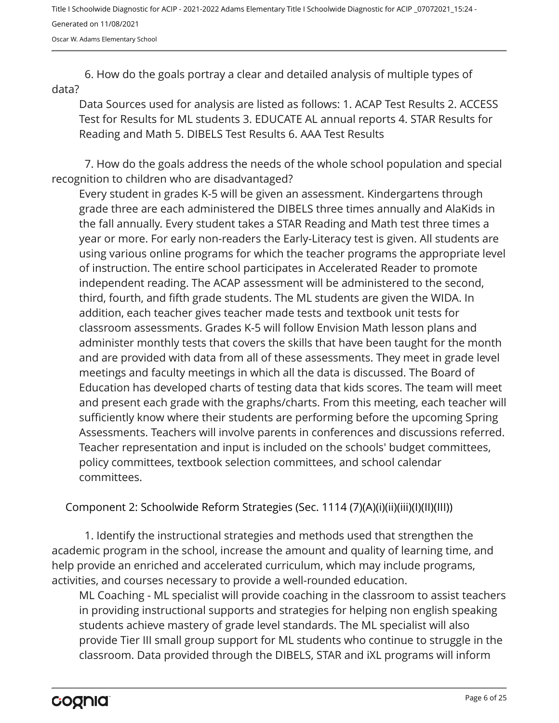Oscar W. Adams Elementary School

6. How do the goals portray a clear and detailed analysis of multiple types of data?

Data Sources used for analysis are listed as follows: 1. ACAP Test Results 2. ACCESS Test for Results for ML students 3. EDUCATE AL annual reports 4. STAR Results for Reading and Math 5. DIBELS Test Results 6. AAA Test Results

7. How do the goals address the needs of the whole school population and special recognition to children who are disadvantaged?

Every student in grades K-5 will be given an assessment. Kindergartens through grade three are each administered the DIBELS three times annually and AlaKids in the fall annually. Every student takes a STAR Reading and Math test three times a year or more. For early non-readers the Early-Literacy test is given. All students are using various online programs for which the teacher programs the appropriate level of instruction. The entire school participates in Accelerated Reader to promote independent reading. The ACAP assessment will be administered to the second, third, fourth, and fifth grade students. The ML students are given the WIDA. In addition, each teacher gives teacher made tests and textbook unit tests for classroom assessments. Grades K-5 will follow Envision Math lesson plans and administer monthly tests that covers the skills that have been taught for the month and are provided with data from all of these assessments. They meet in grade level meetings and faculty meetings in which all the data is discussed. The Board of Education has developed charts of testing data that kids scores. The team will meet and present each grade with the graphs/charts. From this meeting, each teacher will sufficiently know where their students are performing before the upcoming Spring Assessments. Teachers will involve parents in conferences and discussions referred. Teacher representation and input is included on the schools' budget committees, policy committees, textbook selection committees, and school calendar committees.

Component 2: Schoolwide Reform Strategies (Sec. 1114 (7)(A)(i)(ii)(iii)(I)(II)(III))

1. Identify the instructional strategies and methods used that strengthen the academic program in the school, increase the amount and quality of learning time, and help provide an enriched and accelerated curriculum, which may include programs, activities, and courses necessary to provide a well-rounded education.

ML Coaching - ML specialist will provide coaching in the classroom to assist teachers in providing instructional supports and strategies for helping non english speaking students achieve mastery of grade level standards. The ML specialist will also provide Tier III small group support for ML students who continue to struggle in the classroom. Data provided through the DIBELS, STAR and iXL programs will inform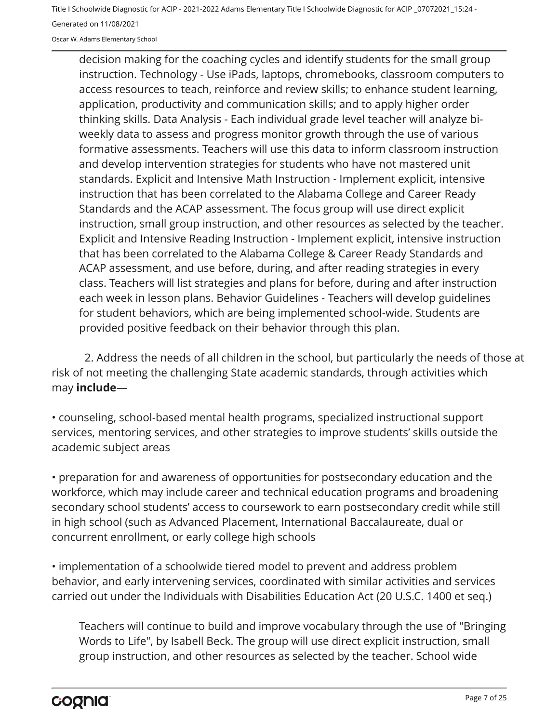Oscar W. Adams Elementary School

decision making for the coaching cycles and identify students for the small group instruction. Technology - Use iPads, laptops, chromebooks, classroom computers to access resources to teach, reinforce and review skills; to enhance student learning, application, productivity and communication skills; and to apply higher order thinking skills. Data Analysis - Each individual grade level teacher will analyze biweekly data to assess and progress monitor growth through the use of various formative assessments. Teachers will use this data to inform classroom instruction and develop intervention strategies for students who have not mastered unit standards. Explicit and Intensive Math Instruction - Implement explicit, intensive instruction that has been correlated to the Alabama College and Career Ready Standards and the ACAP assessment. The focus group will use direct explicit instruction, small group instruction, and other resources as selected by the teacher. Explicit and Intensive Reading Instruction - Implement explicit, intensive instruction that has been correlated to the Alabama College & Career Ready Standards and ACAP assessment, and use before, during, and after reading strategies in every class. Teachers will list strategies and plans for before, during and after instruction each week in lesson plans. Behavior Guidelines - Teachers will develop guidelines for student behaviors, which are being implemented school-wide. Students are provided positive feedback on their behavior through this plan.

2. Address the needs of all children in the school, but particularly the needs of those at risk of not meeting the challenging State academic standards, through activities which may **include**—

• counseling, school-based mental health programs, specialized instructional support services, mentoring services, and other strategies to improve students' skills outside the academic subject areas

• preparation for and awareness of opportunities for postsecondary education and the workforce, which may include career and technical education programs and broadening secondary school students' access to coursework to earn postsecondary credit while still in high school (such as Advanced Placement, International Baccalaureate, dual or concurrent enrollment, or early college high schools

• implementation of a schoolwide tiered model to prevent and address problem behavior, and early intervening services, coordinated with similar activities and services carried out under the Individuals with Disabilities Education Act (20 U.S.C. 1400 et seq.)

Teachers will continue to build and improve vocabulary through the use of "Bringing Words to Life", by Isabell Beck. The group will use direct explicit instruction, small group instruction, and other resources as selected by the teacher. School wide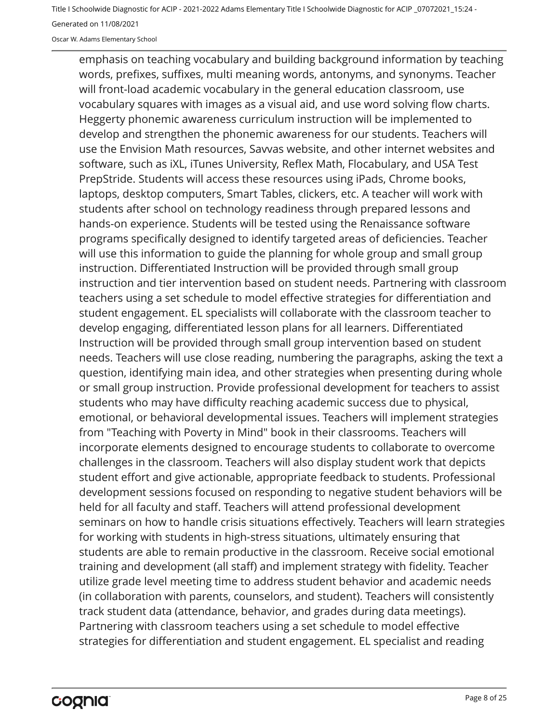Oscar W. Adams Elementary School

emphasis on teaching vocabulary and building background information by teaching words, prefixes, suffixes, multi meaning words, antonyms, and synonyms. Teacher will front-load academic vocabulary in the general education classroom, use vocabulary squares with images as a visual aid, and use word solving flow charts. Heggerty phonemic awareness curriculum instruction will be implemented to develop and strengthen the phonemic awareness for our students. Teachers will use the Envision Math resources, Savvas website, and other internet websites and software, such as iXL, iTunes University, Reflex Math, Flocabulary, and USA Test PrepStride. Students will access these resources using iPads, Chrome books, laptops, desktop computers, Smart Tables, clickers, etc. A teacher will work with students after school on technology readiness through prepared lessons and hands-on experience. Students will be tested using the Renaissance software programs specifically designed to identify targeted areas of deficiencies. Teacher will use this information to guide the planning for whole group and small group instruction. Differentiated Instruction will be provided through small group instruction and tier intervention based on student needs. Partnering with classroom teachers using a set schedule to model effective strategies for differentiation and student engagement. EL specialists will collaborate with the classroom teacher to develop engaging, differentiated lesson plans for all learners. Differentiated Instruction will be provided through small group intervention based on student needs. Teachers will use close reading, numbering the paragraphs, asking the text a question, identifying main idea, and other strategies when presenting during whole or small group instruction. Provide professional development for teachers to assist students who may have difficulty reaching academic success due to physical, emotional, or behavioral developmental issues. Teachers will implement strategies from "Teaching with Poverty in Mind" book in their classrooms. Teachers will incorporate elements designed to encourage students to collaborate to overcome challenges in the classroom. Teachers will also display student work that depicts student effort and give actionable, appropriate feedback to students. Professional development sessions focused on responding to negative student behaviors will be held for all faculty and staff. Teachers will attend professional development seminars on how to handle crisis situations effectively. Teachers will learn strategies for working with students in high-stress situations, ultimately ensuring that students are able to remain productive in the classroom. Receive social emotional training and development (all staff) and implement strategy with fidelity. Teacher utilize grade level meeting time to address student behavior and academic needs (in collaboration with parents, counselors, and student). Teachers will consistently track student data (attendance, behavior, and grades during data meetings). Partnering with classroom teachers using a set schedule to model effective strategies for differentiation and student engagement. EL specialist and reading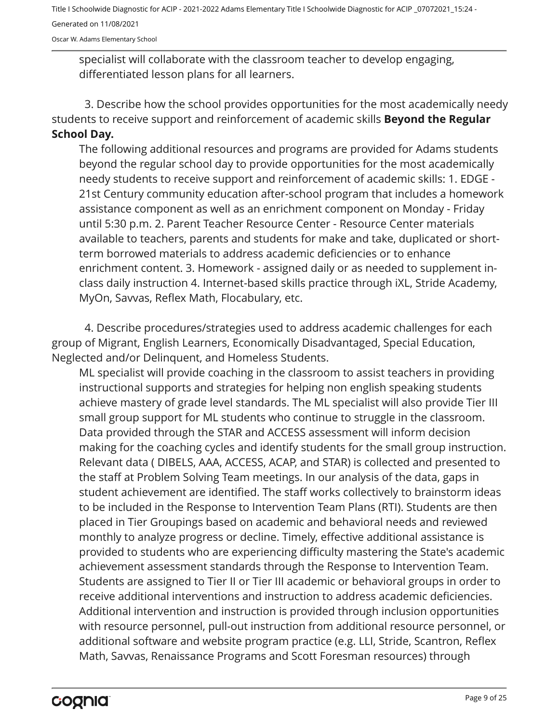Oscar W. Adams Elementary School

specialist will collaborate with the classroom teacher to develop engaging, differentiated lesson plans for all learners.

3. Describe how the school provides opportunities for the most academically needy students to receive support and reinforcement of academic skills **Beyond the Regular School Day.**

The following additional resources and programs are provided for Adams students beyond the regular school day to provide opportunities for the most academically needy students to receive support and reinforcement of academic skills: 1. EDGE - 21st Century community education after-school program that includes a homework assistance component as well as an enrichment component on Monday - Friday until 5:30 p.m. 2. Parent Teacher Resource Center - Resource Center materials available to teachers, parents and students for make and take, duplicated or shortterm borrowed materials to address academic deficiencies or to enhance enrichment content. 3. Homework - assigned daily or as needed to supplement inclass daily instruction 4. Internet-based skills practice through iXL, Stride Academy, MyOn, Savvas, Reflex Math, Flocabulary, etc.

4. Describe procedures/strategies used to address academic challenges for each group of Migrant, English Learners, Economically Disadvantaged, Special Education, Neglected and/or Delinquent, and Homeless Students.

ML specialist will provide coaching in the classroom to assist teachers in providing instructional supports and strategies for helping non english speaking students achieve mastery of grade level standards. The ML specialist will also provide Tier III small group support for ML students who continue to struggle in the classroom. Data provided through the STAR and ACCESS assessment will inform decision making for the coaching cycles and identify students for the small group instruction. Relevant data ( DIBELS, AAA, ACCESS, ACAP, and STAR) is collected and presented to the staff at Problem Solving Team meetings. In our analysis of the data, gaps in student achievement are identified. The staff works collectively to brainstorm ideas to be included in the Response to Intervention Team Plans (RTI). Students are then placed in Tier Groupings based on academic and behavioral needs and reviewed monthly to analyze progress or decline. Timely, effective additional assistance is provided to students who are experiencing difficulty mastering the State's academic achievement assessment standards through the Response to Intervention Team. Students are assigned to Tier II or Tier III academic or behavioral groups in order to receive additional interventions and instruction to address academic deficiencies. Additional intervention and instruction is provided through inclusion opportunities with resource personnel, pull-out instruction from additional resource personnel, or additional software and website program practice (e.g. LLI, Stride, Scantron, Reflex Math, Savvas, Renaissance Programs and Scott Foresman resources) through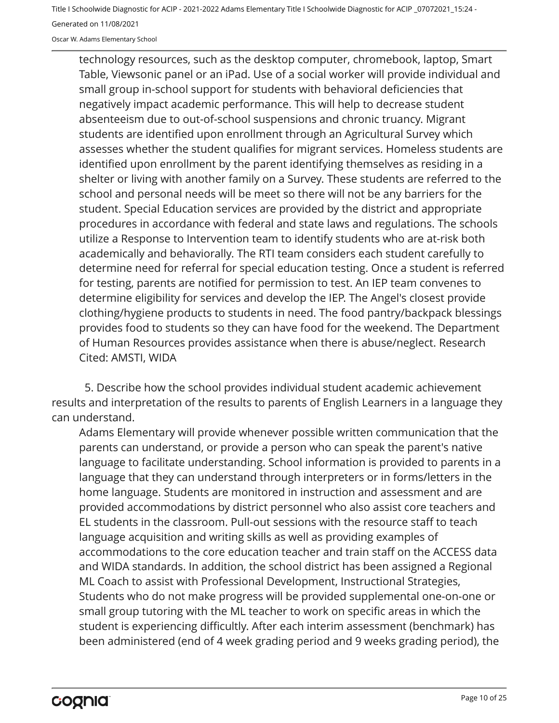Oscar W. Adams Elementary School

technology resources, such as the desktop computer, chromebook, laptop, Smart Table, Viewsonic panel or an iPad. Use of a social worker will provide individual and small group in-school support for students with behavioral deficiencies that negatively impact academic performance. This will help to decrease student absenteeism due to out-of-school suspensions and chronic truancy. Migrant students are identified upon enrollment through an Agricultural Survey which assesses whether the student qualifies for migrant services. Homeless students are identified upon enrollment by the parent identifying themselves as residing in a shelter or living with another family on a Survey. These students are referred to the school and personal needs will be meet so there will not be any barriers for the student. Special Education services are provided by the district and appropriate procedures in accordance with federal and state laws and regulations. The schools utilize a Response to Intervention team to identify students who are at-risk both academically and behaviorally. The RTI team considers each student carefully to determine need for referral for special education testing. Once a student is referred for testing, parents are notified for permission to test. An IEP team convenes to determine eligibility for services and develop the IEP. The Angel's closest provide clothing/hygiene products to students in need. The food pantry/backpack blessings provides food to students so they can have food for the weekend. The Department of Human Resources provides assistance when there is abuse/neglect. Research Cited: AMSTI, WIDA

5. Describe how the school provides individual student academic achievement results and interpretation of the results to parents of English Learners in a language they can understand.

Adams Elementary will provide whenever possible written communication that the parents can understand, or provide a person who can speak the parent's native language to facilitate understanding. School information is provided to parents in a language that they can understand through interpreters or in forms/letters in the home language. Students are monitored in instruction and assessment and are provided accommodations by district personnel who also assist core teachers and EL students in the classroom. Pull-out sessions with the resource staff to teach language acquisition and writing skills as well as providing examples of accommodations to the core education teacher and train staff on the ACCESS data and WIDA standards. In addition, the school district has been assigned a Regional ML Coach to assist with Professional Development, Instructional Strategies, Students who do not make progress will be provided supplemental one-on-one or small group tutoring with the ML teacher to work on specific areas in which the student is experiencing difficultly. After each interim assessment (benchmark) has been administered (end of 4 week grading period and 9 weeks grading period), the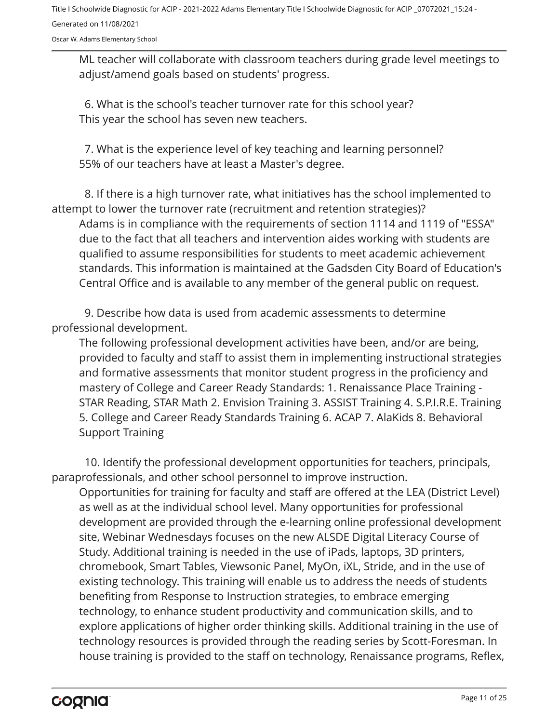Oscar W. Adams Elementary School

ML teacher will collaborate with classroom teachers during grade level meetings to adjust/amend goals based on students' progress.

This year the school has seven new teachers. 6. What is the school's teacher turnover rate for this school year?

55% of our teachers have at least a Master's degree. 7. What is the experience level of key teaching and learning personnel?

8. If there is a high turnover rate, what initiatives has the school implemented to attempt to lower the turnover rate (recruitment and retention strategies)?

Adams is in compliance with the requirements of section 1114 and 1119 of "ESSA" due to the fact that all teachers and intervention aides working with students are qualified to assume responsibilities for students to meet academic achievement standards. This information is maintained at the Gadsden City Board of Education's Central Office and is available to any member of the general public on request.

9. Describe how data is used from academic assessments to determine professional development.

The following professional development activities have been, and/or are being, provided to faculty and staff to assist them in implementing instructional strategies and formative assessments that monitor student progress in the proficiency and mastery of College and Career Ready Standards: 1. Renaissance Place Training - STAR Reading, STAR Math 2. Envision Training 3. ASSIST Training 4. S.P.I.R.E. Training 5. College and Career Ready Standards Training 6. ACAP 7. AlaKids 8. Behavioral Support Training

10. Identify the professional development opportunities for teachers, principals, paraprofessionals, and other school personnel to improve instruction.

Opportunities for training for faculty and staff are offered at the LEA (District Level) as well as at the individual school level. Many opportunities for professional development are provided through the e-learning online professional development site, Webinar Wednesdays focuses on the new ALSDE Digital Literacy Course of Study. Additional training is needed in the use of iPads, laptops, 3D printers, chromebook, Smart Tables, Viewsonic Panel, MyOn, iXL, Stride, and in the use of existing technology. This training will enable us to address the needs of students benefiting from Response to Instruction strategies, to embrace emerging technology, to enhance student productivity and communication skills, and to explore applications of higher order thinking skills. Additional training in the use of technology resources is provided through the reading series by Scott-Foresman. In house training is provided to the staff on technology, Renaissance programs, Reflex,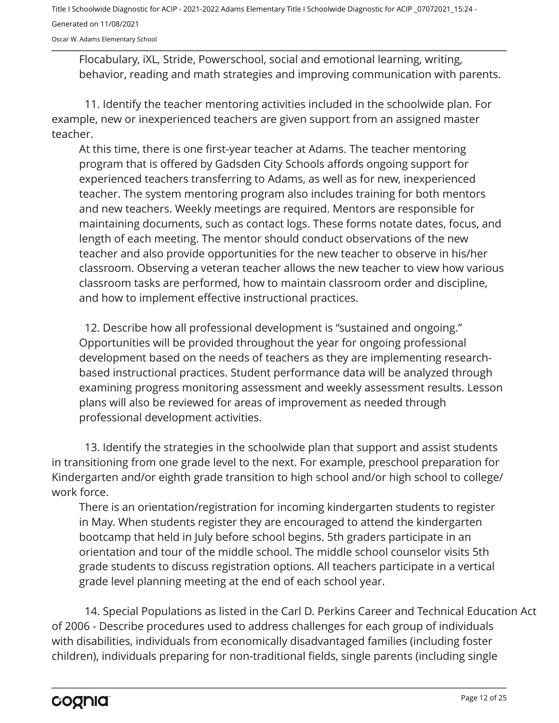Oscar W. Adams Elementary School

Flocabulary, iXL, Stride, Powerschool, social and emotional learning, writing, behavior, reading and math strategies and improving communication with parents.

11. Identify the teacher mentoring activities included in the schoolwide plan. For example, new or inexperienced teachers are given support from an assigned master teacher.

At this time, there is one first-year teacher at Adams. The teacher mentoring program that is offered by Gadsden City Schools affords ongoing support for experienced teachers transferring to Adams, as well as for new, inexperienced teacher. The system mentoring program also includes training for both mentors and new teachers. Weekly meetings are required. Mentors are responsible for maintaining documents, such as contact logs. These forms notate dates, focus, and length of each meeting. The mentor should conduct observations of the new teacher and also provide opportunities for the new teacher to observe in his/her classroom. Observing a veteran teacher allows the new teacher to view how various classroom tasks are performed, how to maintain classroom order and discipline, and how to implement effective instructional practices.

Opportunities will be provided throughout the year for ongoing professional development based on the needs of teachers as they are implementing researchbased instructional practices. Student performance data will be analyzed through examining progress monitoring assessment and weekly assessment results. Lesson plans will also be reviewed for areas of improvement as needed through professional development activities. 12. Describe how all professional development is "sustained and ongoing."

13. Identify the strategies in the schoolwide plan that support and assist students in transitioning from one grade level to the next. For example, preschool preparation for Kindergarten and/or eighth grade transition to high school and/or high school to college/ work force.

There is an orientation/registration for incoming kindergarten students to register in May. When students register they are encouraged to attend the kindergarten bootcamp that held in July before school begins. 5th graders participate in an orientation and tour of the middle school. The middle school counselor visits 5th grade students to discuss registration options. All teachers participate in a vertical grade level planning meeting at the end of each school year.

14. Special Populations as listed in the Carl D. Perkins Career and Technical Education Act of 2006 - Describe procedures used to address challenges for each group of individuals with disabilities, individuals from economically disadvantaged families (including foster children), individuals preparing for non-traditional fields, single parents (including single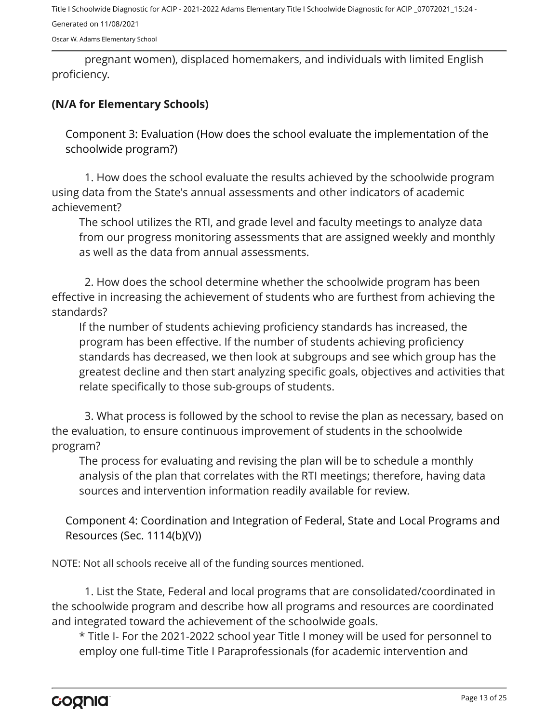Oscar W. Adams Elementary School

pregnant women), displaced homemakers, and individuals with limited English proficiency.

#### **(N/A for Elementary Schools)**

Component 3: Evaluation (How does the school evaluate the implementation of the schoolwide program?)

1. How does the school evaluate the results achieved by the schoolwide program using data from the State's annual assessments and other indicators of academic achievement?

The school utilizes the RTI, and grade level and faculty meetings to analyze data from our progress monitoring assessments that are assigned weekly and monthly as well as the data from annual assessments.

2. How does the school determine whether the schoolwide program has been effective in increasing the achievement of students who are furthest from achieving the standards?

If the number of students achieving proficiency standards has increased, the program has been effective. If the number of students achieving proficiency standards has decreased, we then look at subgroups and see which group has the greatest decline and then start analyzing specific goals, objectives and activities that relate specifically to those sub-groups of students.

3. What process is followed by the school to revise the plan as necessary, based on the evaluation, to ensure continuous improvement of students in the schoolwide program?

The process for evaluating and revising the plan will be to schedule a monthly analysis of the plan that correlates with the RTI meetings; therefore, having data sources and intervention information readily available for review.

Component 4: Coordination and Integration of Federal, State and Local Programs and Resources (Sec. 1114(b)(V))

NOTE: Not all schools receive all of the funding sources mentioned.

1. List the State, Federal and local programs that are consolidated/coordinated in the schoolwide program and describe how all programs and resources are coordinated and integrated toward the achievement of the schoolwide goals.

\* Title I- For the 2021-2022 school year Title I money will be used for personnel to employ one full-time Title I Paraprofessionals (for academic intervention and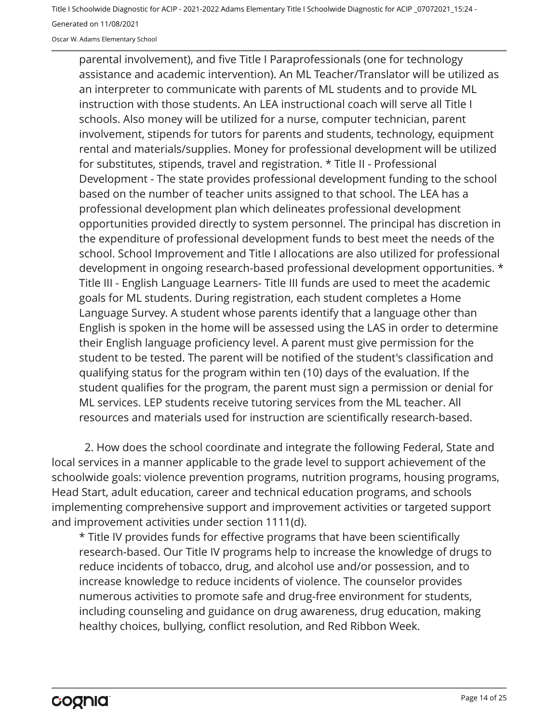Oscar W. Adams Elementary School

parental involvement), and five Title I Paraprofessionals (one for technology assistance and academic intervention). An ML Teacher/Translator will be utilized as an interpreter to communicate with parents of ML students and to provide ML instruction with those students. An LEA instructional coach will serve all Title I schools. Also money will be utilized for a nurse, computer technician, parent involvement, stipends for tutors for parents and students, technology, equipment rental and materials/supplies. Money for professional development will be utilized for substitutes, stipends, travel and registration. \* Title II - Professional Development - The state provides professional development funding to the school based on the number of teacher units assigned to that school. The LEA has a professional development plan which delineates professional development opportunities provided directly to system personnel. The principal has discretion in the expenditure of professional development funds to best meet the needs of the school. School Improvement and Title I allocations are also utilized for professional development in ongoing research-based professional development opportunities. \* Title III - English Language Learners- Title III funds are used to meet the academic goals for ML students. During registration, each student completes a Home Language Survey. A student whose parents identify that a language other than English is spoken in the home will be assessed using the LAS in order to determine their English language proficiency level. A parent must give permission for the student to be tested. The parent will be notified of the student's classification and qualifying status for the program within ten (10) days of the evaluation. If the student qualifies for the program, the parent must sign a permission or denial for ML services. LEP students receive tutoring services from the ML teacher. All resources and materials used for instruction are scientifically research-based.

2. How does the school coordinate and integrate the following Federal, State and local services in a manner applicable to the grade level to support achievement of the schoolwide goals: violence prevention programs, nutrition programs, housing programs, Head Start, adult education, career and technical education programs, and schools implementing comprehensive support and improvement activities or targeted support and improvement activities under section 1111(d).

\* Title IV provides funds for effective programs that have been scientifically research-based. Our Title IV programs help to increase the knowledge of drugs to reduce incidents of tobacco, drug, and alcohol use and/or possession, and to increase knowledge to reduce incidents of violence. The counselor provides numerous activities to promote safe and drug-free environment for students, including counseling and guidance on drug awareness, drug education, making healthy choices, bullying, conflict resolution, and Red Ribbon Week.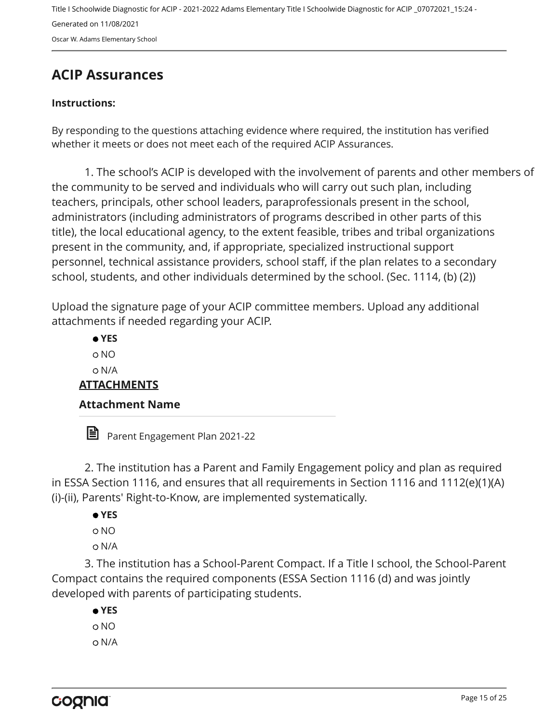Title I Schoolwide Diagnostic for ACIP - 2021-2022 Adams Elementary Title I Schoolwide Diagnostic for ACIP \_07072021\_15:24 - Generated on 11/08/2021 Oscar W. Adams Elementary School

## <span id="page-14-0"></span>**ACIP Assurances**

#### **Instructions:**

By responding to the questions attaching evidence where required, the institution has verified whether it meets or does not meet each of the required ACIP Assurances.

1. The school's ACIP is developed with the involvement of parents and other members of the community to be served and individuals who will carry out such plan, including teachers, principals, other school leaders, paraprofessionals present in the school, administrators (including administrators of programs described in other parts of this title), the local educational agency, to the extent feasible, tribes and tribal organizations present in the community, and, if appropriate, specialized instructional support personnel, technical assistance providers, school staff, if the plan relates to a secondary school, students, and other individuals determined by the school. (Sec. 1114, (b) (2))

Upload the signature page of your ACIP committee members. Upload any additional attachments if needed regarding your ACIP.

 **YES** NO N/A **ATTACHMENTS Attachment Name** 

Parent Engagement Plan 2021-22

2. The institution has a Parent and Family Engagement policy and plan as required in ESSA Section 1116, and ensures that all requirements in Section 1116 and 1112(e)(1)(A) (i)-(ii), Parents' Right-to-Know, are implemented systematically.

- **YES**
- NO
- N/A

3. The institution has a School-Parent Compact. If a Title I school, the School-Parent Compact contains the required components (ESSA Section 1116 (d) and was jointly developed with parents of participating students.

 **YES** NO N/A

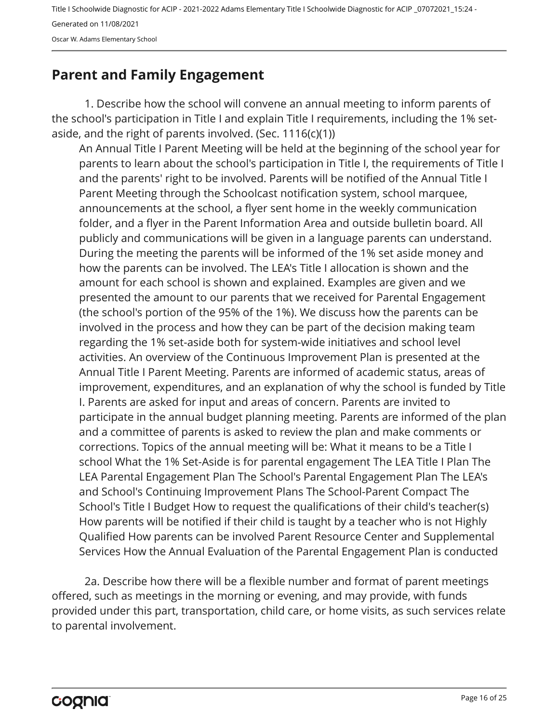Oscar W. Adams Elementary School

## <span id="page-15-0"></span>**Parent and Family Engagement**

1. Describe how the school will convene an annual meeting to inform parents of the school's participation in Title I and explain Title I requirements, including the 1% setaside, and the right of parents involved. (Sec.  $1116(c)(1)$ )

An Annual Title I Parent Meeting will be held at the beginning of the school year for parents to learn about the school's participation in Title I, the requirements of Title I and the parents' right to be involved. Parents will be notified of the Annual Title I Parent Meeting through the Schoolcast notification system, school marquee, announcements at the school, a flyer sent home in the weekly communication folder, and a flyer in the Parent Information Area and outside bulletin board. All publicly and communications will be given in a language parents can understand. During the meeting the parents will be informed of the 1% set aside money and how the parents can be involved. The LEA's Title I allocation is shown and the amount for each school is shown and explained. Examples are given and we presented the amount to our parents that we received for Parental Engagement (the school's portion of the 95% of the 1%). We discuss how the parents can be involved in the process and how they can be part of the decision making team regarding the 1% set-aside both for system-wide initiatives and school level activities. An overview of the Continuous Improvement Plan is presented at the Annual Title I Parent Meeting. Parents are informed of academic status, areas of improvement, expenditures, and an explanation of why the school is funded by Title I. Parents are asked for input and areas of concern. Parents are invited to participate in the annual budget planning meeting. Parents are informed of the plan and a committee of parents is asked to review the plan and make comments or corrections. Topics of the annual meeting will be: What it means to be a Title I school What the 1% Set-Aside is for parental engagement The LEA Title I Plan The LEA Parental Engagement Plan The School's Parental Engagement Plan The LEA's and School's Continuing Improvement Plans The School-Parent Compact The School's Title I Budget How to request the qualifications of their child's teacher(s) How parents will be notified if their child is taught by a teacher who is not Highly Qualified How parents can be involved Parent Resource Center and Supplemental Services How the Annual Evaluation of the Parental Engagement Plan is conducted

2a. Describe how there will be a flexible number and format of parent meetings offered, such as meetings in the morning or evening, and may provide, with funds provided under this part, transportation, child care, or home visits, as such services relate to parental involvement.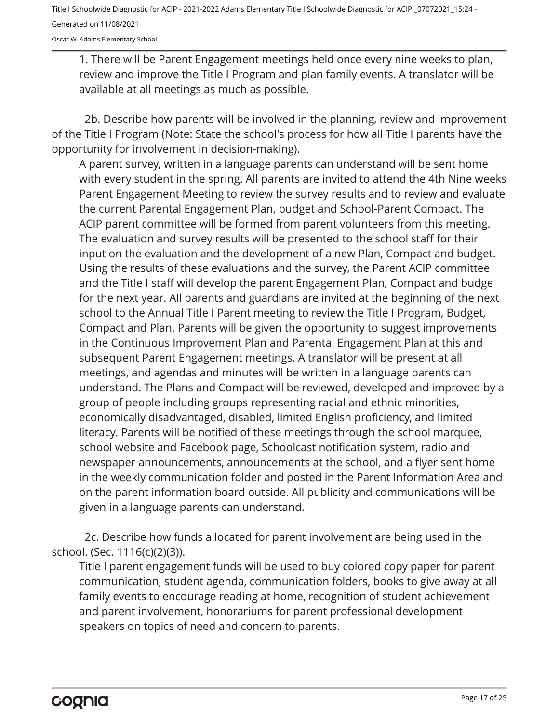Oscar W. Adams Elementary School

1. There will be Parent Engagement meetings held once every nine weeks to plan, review and improve the Title I Program and plan family events. A translator will be available at all meetings as much as possible.

2b. Describe how parents will be involved in the planning, review and improvement of the Title I Program (Note: State the school's process for how all Title I parents have the opportunity for involvement in decision-making).

A parent survey, written in a language parents can understand will be sent home with every student in the spring. All parents are invited to attend the 4th Nine weeks Parent Engagement Meeting to review the survey results and to review and evaluate the current Parental Engagement Plan, budget and School-Parent Compact. The ACIP parent committee will be formed from parent volunteers from this meeting. The evaluation and survey results will be presented to the school staff for their input on the evaluation and the development of a new Plan, Compact and budget. Using the results of these evaluations and the survey, the Parent ACIP committee and the Title I staff will develop the parent Engagement Plan, Compact and budge for the next year. All parents and guardians are invited at the beginning of the next school to the Annual Title I Parent meeting to review the Title I Program, Budget, Compact and Plan. Parents will be given the opportunity to suggest improvements in the Continuous Improvement Plan and Parental Engagement Plan at this and subsequent Parent Engagement meetings. A translator will be present at all meetings, and agendas and minutes will be written in a language parents can understand. The Plans and Compact will be reviewed, developed and improved by a group of people including groups representing racial and ethnic minorities, economically disadvantaged, disabled, limited English proficiency, and limited literacy. Parents will be notified of these meetings through the school marquee, school website and Facebook page, Schoolcast notification system, radio and newspaper announcements, announcements at the school, and a flyer sent home in the weekly communication folder and posted in the Parent Information Area and on the parent information board outside. All publicity and communications will be given in a language parents can understand.

2c. Describe how funds allocated for parent involvement are being used in the school. (Sec. 1116(c)(2)(3)).

Title I parent engagement funds will be used to buy colored copy paper for parent communication, student agenda, communication folders, books to give away at all family events to encourage reading at home, recognition of student achievement and parent involvement, honorariums for parent professional development speakers on topics of need and concern to parents.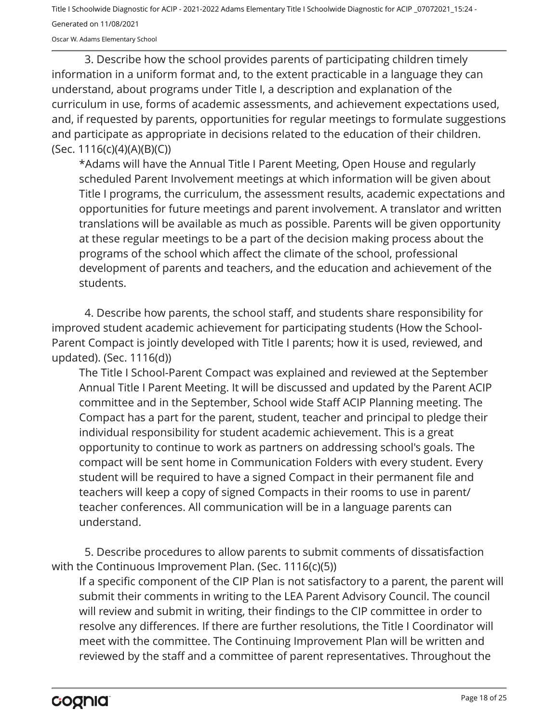Oscar W. Adams Elementary School

3. Describe how the school provides parents of participating children timely information in a uniform format and, to the extent practicable in a language they can understand, about programs under Title I, a description and explanation of the curriculum in use, forms of academic assessments, and achievement expectations used, and, if requested by parents, opportunities for regular meetings to formulate suggestions and participate as appropriate in decisions related to the education of their children. (Sec. 1116(c)(4)(A)(B)(C))

\*Adams will have the Annual Title I Parent Meeting, Open House and regularly scheduled Parent Involvement meetings at which information will be given about Title I programs, the curriculum, the assessment results, academic expectations and opportunities for future meetings and parent involvement. A translator and written translations will be available as much as possible. Parents will be given opportunity at these regular meetings to be a part of the decision making process about the programs of the school which affect the climate of the school, professional development of parents and teachers, and the education and achievement of the students.

4. Describe how parents, the school staff, and students share responsibility for improved student academic achievement for participating students (How the School-Parent Compact is jointly developed with Title I parents; how it is used, reviewed, and updated). (Sec. 1116(d))

The Title I School-Parent Compact was explained and reviewed at the September Annual Title I Parent Meeting. It will be discussed and updated by the Parent ACIP committee and in the September, School wide Staff ACIP Planning meeting. The Compact has a part for the parent, student, teacher and principal to pledge their individual responsibility for student academic achievement. This is a great opportunity to continue to work as partners on addressing school's goals. The compact will be sent home in Communication Folders with every student. Every student will be required to have a signed Compact in their permanent file and teachers will keep a copy of signed Compacts in their rooms to use in parent/ teacher conferences. All communication will be in a language parents can understand.

5. Describe procedures to allow parents to submit comments of dissatisfaction with the Continuous Improvement Plan. (Sec. 1116(c)(5))

If a specific component of the CIP Plan is not satisfactory to a parent, the parent will submit their comments in writing to the LEA Parent Advisory Council. The council will review and submit in writing, their findings to the CIP committee in order to resolve any differences. If there are further resolutions, the Title I Coordinator will meet with the committee. The Continuing Improvement Plan will be written and reviewed by the staff and a committee of parent representatives. Throughout the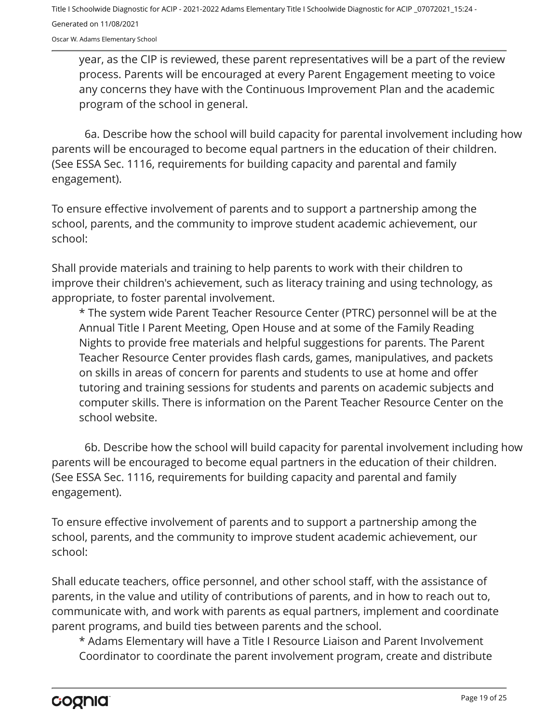Oscar W. Adams Elementary School

year, as the CIP is reviewed, these parent representatives will be a part of the review process. Parents will be encouraged at every Parent Engagement meeting to voice any concerns they have with the Continuous Improvement Plan and the academic program of the school in general.

6a. Describe how the school will build capacity for parental involvement including how parents will be encouraged to become equal partners in the education of their children. (See ESSA Sec. 1116, requirements for building capacity and parental and family engagement).

To ensure effective involvement of parents and to support a partnership among the school, parents, and the community to improve student academic achievement, our school:

Shall provide materials and training to help parents to work with their children to improve their children's achievement, such as literacy training and using technology, as appropriate, to foster parental involvement.

\* The system wide Parent Teacher Resource Center (PTRC) personnel will be at the Annual Title I Parent Meeting, Open House and at some of the Family Reading Nights to provide free materials and helpful suggestions for parents. The Parent Teacher Resource Center provides flash cards, games, manipulatives, and packets on skills in areas of concern for parents and students to use at home and offer tutoring and training sessions for students and parents on academic subjects and computer skills. There is information on the Parent Teacher Resource Center on the school website.

6b. Describe how the school will build capacity for parental involvement including how parents will be encouraged to become equal partners in the education of their children. (See ESSA Sec. 1116, requirements for building capacity and parental and family engagement).

To ensure effective involvement of parents and to support a partnership among the school, parents, and the community to improve student academic achievement, our school:

Shall educate teachers, office personnel, and other school staff, with the assistance of parents, in the value and utility of contributions of parents, and in how to reach out to, communicate with, and work with parents as equal partners, implement and coordinate parent programs, and build ties between parents and the school.

\* Adams Elementary will have a Title I Resource Liaison and Parent Involvement Coordinator to coordinate the parent involvement program, create and distribute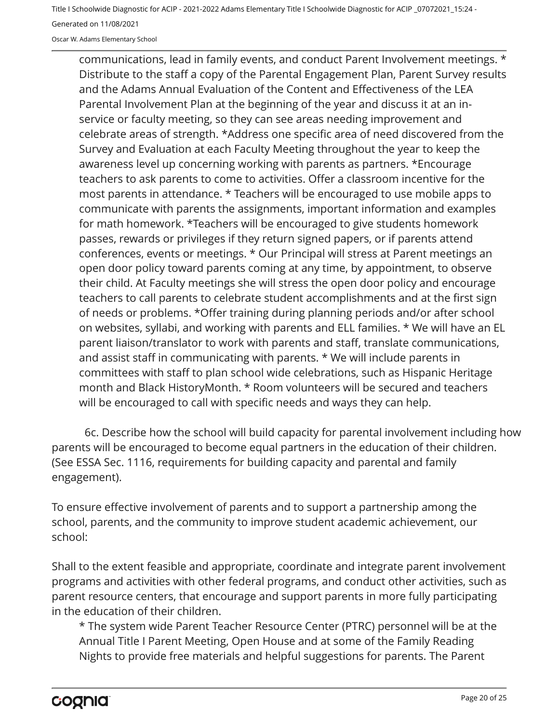Oscar W. Adams Elementary School

communications, lead in family events, and conduct Parent Involvement meetings. \* Distribute to the staff a copy of the Parental Engagement Plan, Parent Survey results and the Adams Annual Evaluation of the Content and Effectiveness of the LEA Parental Involvement Plan at the beginning of the year and discuss it at an inservice or faculty meeting, so they can see areas needing improvement and celebrate areas of strength. \*Address one specific area of need discovered from the Survey and Evaluation at each Faculty Meeting throughout the year to keep the awareness level up concerning working with parents as partners. \*Encourage teachers to ask parents to come to activities. Offer a classroom incentive for the most parents in attendance. \* Teachers will be encouraged to use mobile apps to communicate with parents the assignments, important information and examples for math homework. \*Teachers will be encouraged to give students homework passes, rewards or privileges if they return signed papers, or if parents attend conferences, events or meetings. \* Our Principal will stress at Parent meetings an open door policy toward parents coming at any time, by appointment, to observe their child. At Faculty meetings she will stress the open door policy and encourage teachers to call parents to celebrate student accomplishments and at the first sign of needs or problems. \*Offer training during planning periods and/or after school on websites, syllabi, and working with parents and ELL families. \* We will have an EL parent liaison/translator to work with parents and staff, translate communications, and assist staff in communicating with parents. \* We will include parents in committees with staff to plan school wide celebrations, such as Hispanic Heritage month and Black HistoryMonth. \* Room volunteers will be secured and teachers will be encouraged to call with specific needs and ways they can help.

6c. Describe how the school will build capacity for parental involvement including how parents will be encouraged to become equal partners in the education of their children. (See ESSA Sec. 1116, requirements for building capacity and parental and family engagement).

To ensure effective involvement of parents and to support a partnership among the school, parents, and the community to improve student academic achievement, our school:

Shall to the extent feasible and appropriate, coordinate and integrate parent involvement programs and activities with other federal programs, and conduct other activities, such as parent resource centers, that encourage and support parents in more fully participating in the education of their children.

\* The system wide Parent Teacher Resource Center (PTRC) personnel will be at the Annual Title I Parent Meeting, Open House and at some of the Family Reading Nights to provide free materials and helpful suggestions for parents. The Parent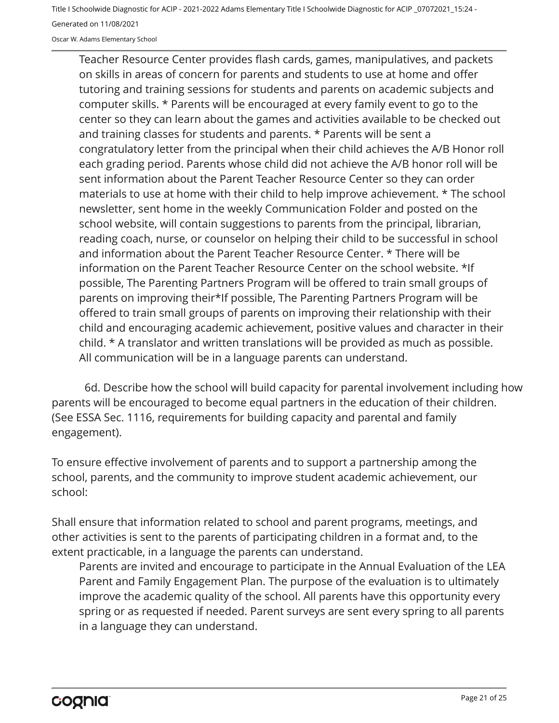Oscar W. Adams Elementary School

Teacher Resource Center provides flash cards, games, manipulatives, and packets on skills in areas of concern for parents and students to use at home and offer tutoring and training sessions for students and parents on academic subjects and computer skills. \* Parents will be encouraged at every family event to go to the center so they can learn about the games and activities available to be checked out and training classes for students and parents. \* Parents will be sent a congratulatory letter from the principal when their child achieves the A/B Honor roll each grading period. Parents whose child did not achieve the A/B honor roll will be sent information about the Parent Teacher Resource Center so they can order materials to use at home with their child to help improve achievement. \* The school newsletter, sent home in the weekly Communication Folder and posted on the school website, will contain suggestions to parents from the principal, librarian, reading coach, nurse, or counselor on helping their child to be successful in school and information about the Parent Teacher Resource Center. \* There will be information on the Parent Teacher Resource Center on the school website. \*If possible, The Parenting Partners Program will be offered to train small groups of parents on improving their\*If possible, The Parenting Partners Program will be offered to train small groups of parents on improving their relationship with their child and encouraging academic achievement, positive values and character in their child. \* A translator and written translations will be provided as much as possible. All communication will be in a language parents can understand.

6d. Describe how the school will build capacity for parental involvement including how parents will be encouraged to become equal partners in the education of their children. (See ESSA Sec. 1116, requirements for building capacity and parental and family engagement).

To ensure effective involvement of parents and to support a partnership among the school, parents, and the community to improve student academic achievement, our school:

Shall ensure that information related to school and parent programs, meetings, and other activities is sent to the parents of participating children in a format and, to the extent practicable, in a language the parents can understand.

Parents are invited and encourage to participate in the Annual Evaluation of the LEA Parent and Family Engagement Plan. The purpose of the evaluation is to ultimately improve the academic quality of the school. All parents have this opportunity every spring or as requested if needed. Parent surveys are sent every spring to all parents in a language they can understand.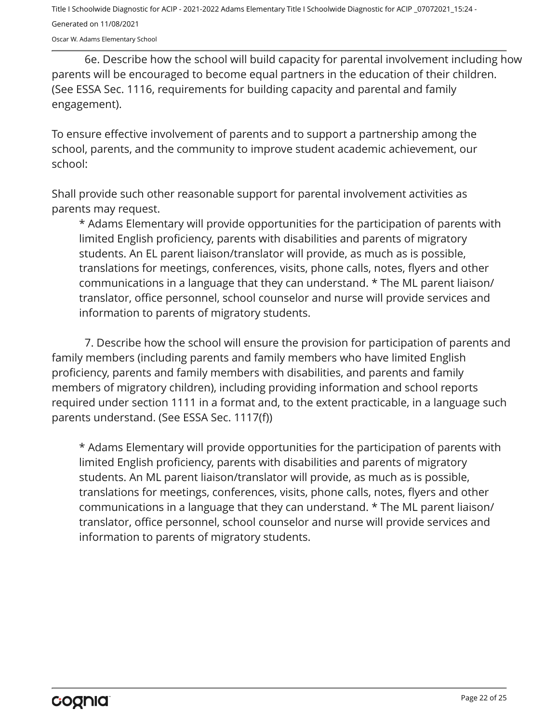Oscar W. Adams Elementary School

6e. Describe how the school will build capacity for parental involvement including how parents will be encouraged to become equal partners in the education of their children. (See ESSA Sec. 1116, requirements for building capacity and parental and family engagement).

To ensure effective involvement of parents and to support a partnership among the school, parents, and the community to improve student academic achievement, our school:

Shall provide such other reasonable support for parental involvement activities as parents may request.

\* Adams Elementary will provide opportunities for the participation of parents with limited English proficiency, parents with disabilities and parents of migratory students. An EL parent liaison/translator will provide, as much as is possible, translations for meetings, conferences, visits, phone calls, notes, flyers and other communications in a language that they can understand. \* The ML parent liaison/ translator, office personnel, school counselor and nurse will provide services and information to parents of migratory students.

7. Describe how the school will ensure the provision for participation of parents and family members (including parents and family members who have limited English proficiency, parents and family members with disabilities, and parents and family members of migratory children), including providing information and school reports required under section 1111 in a format and, to the extent practicable, in a language such parents understand. (See ESSA Sec. 1117(f))

\* Adams Elementary will provide opportunities for the participation of parents with limited English proficiency, parents with disabilities and parents of migratory students. An ML parent liaison/translator will provide, as much as is possible, translations for meetings, conferences, visits, phone calls, notes, flyers and other communications in a language that they can understand. \* The ML parent liaison/ translator, office personnel, school counselor and nurse will provide services and information to parents of migratory students.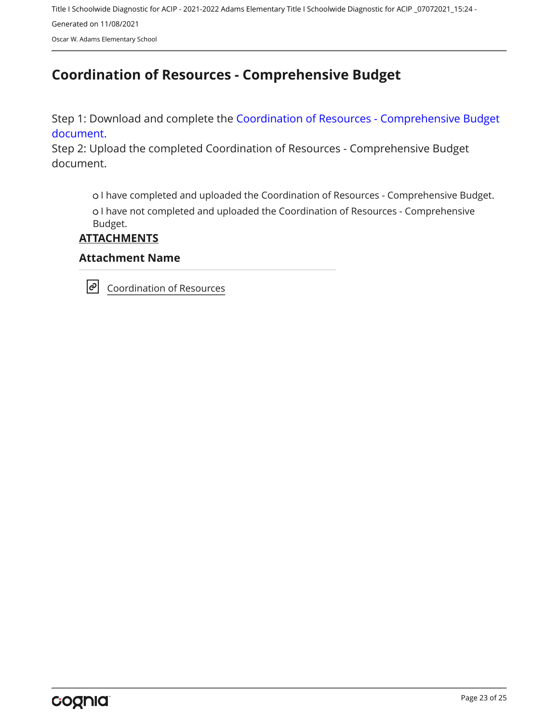Oscar W. Adams Elementary School

## <span id="page-22-0"></span>**Coordination of Resources - Comprehensive Budget**

Step 1: Download and complete the [Coordination of Resources - Comprehensive Budget](https://www.alsde.edu/sec/fp/Pages/resources-all.aspx?navtext=Resources) [document.](https://www.alsde.edu/sec/fp/Pages/resources-all.aspx?navtext=Resources)

Step 2: Upload the completed Coordination of Resources - Comprehensive Budget document.

 I have completed and uploaded the Coordination of Resources - Comprehensive Budget. I have not completed and uploaded the Coordination of Resources - Comprehensive Budget.

**ATTACHMENTS**

#### **Attachment Name**

 $|\mathcal{O}|$ [Coordination of Resources](https://docs.google.com/spreadsheets/d/1n2Xtj2w9tqHGc9tZ5XLZjk5D9922H7sn/edit?usp=sharing&ouid=102605216720511338557&rtpof=true&sd=true)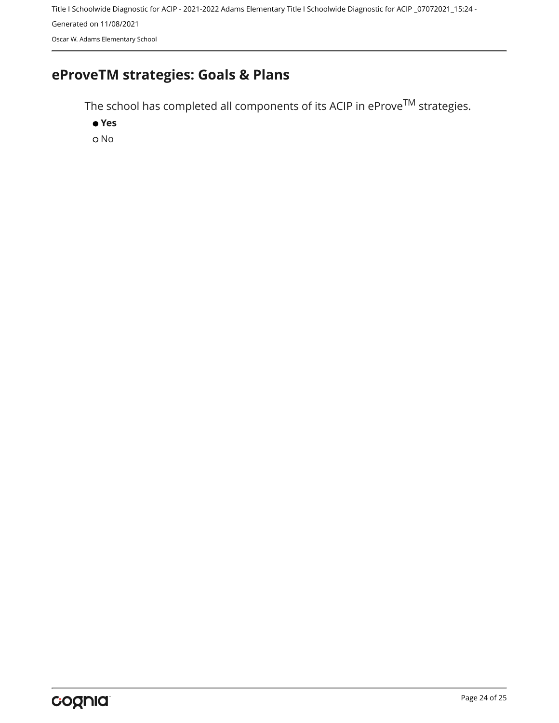Title I Schoolwide Diagnostic for ACIP - 2021-2022 Adams Elementary Title I Schoolwide Diagnostic for ACIP \_07072021\_15:24 - Generated on 11/08/2021 Oscar W. Adams Elementary School

# <span id="page-23-0"></span>**eProveTM strategies: Goals & Plans**

The school has completed all components of its ACIP in  $e$ Prov $e^{TM}$  strategies.

 **Yes** o No